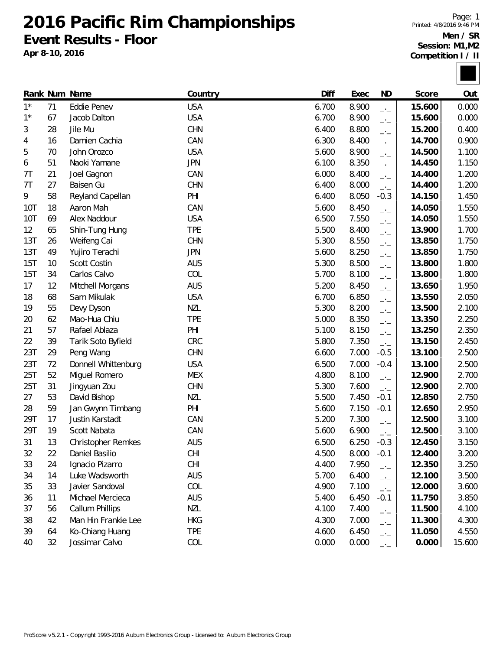**2016 Pacific Rim Championships Event Results - Floor**

**Apr 8-10, 2016**

Page: 1 Printed: 4/8/2016 9:46 PM **Men / SR**

**Session: M1,M2 Competition I / II**



|                |    | Rank Num Name             | Country    | Diff  | Exec  | <b>ND</b>                | Score  | Out    |
|----------------|----|---------------------------|------------|-------|-------|--------------------------|--------|--------|
| $1^*$          | 71 | Eddie Penev               | <b>USA</b> | 6.700 | 8.900 | $-1$                     | 15.600 | 0.000  |
| $1^{\star}$    | 67 | Jacob Dalton              | <b>USA</b> | 6.700 | 8.900 | $-1$                     | 15.600 | 0.000  |
| 3              | 28 | Jile Mu                   | <b>CHN</b> | 6.400 | 8.800 | $-1$                     | 15.200 | 0.400  |
| 4              | 16 | Damien Cachia             | CAN        | 6.300 | 8.400 | $\overline{a}$           | 14.700 | 0.900  |
| 5              | 70 | John Orozco               | <b>USA</b> | 5.600 | 8.900 | $\overline{\phantom{a}}$ | 14.500 | 1.100  |
| 6              | 51 | Naoki Yamane              | <b>JPN</b> | 6.100 | 8.350 | $\overline{\phantom{a}}$ | 14.450 | 1.150  |
| 7 <sub>T</sub> | 21 | Joel Gagnon               | CAN        | 6.000 | 8.400 | $-1$                     | 14.400 | 1.200  |
| 7 <sub>T</sub> | 27 | Baisen Gu                 | <b>CHN</b> | 6.400 | 8.000 | $-1$                     | 14.400 | 1.200  |
| 9              | 58 | Reyland Capellan          | PHI        | 6.400 | 8.050 | $-0.3$                   | 14.150 | 1.450  |
| 10T            | 18 | Aaron Mah                 | CAN        | 5.600 | 8.450 | $-1$                     | 14.050 | 1.550  |
| 10T            | 69 | Alex Naddour              | <b>USA</b> | 6.500 | 7.550 | $-1$                     | 14.050 | 1.550  |
| 12             | 65 | Shin-Tung Hung            | <b>TPE</b> | 5.500 | 8.400 | $-1$                     | 13.900 | 1.700  |
| 13T            | 26 | Weifeng Cai               | <b>CHN</b> | 5.300 | 8.550 | $-1$                     | 13.850 | 1.750  |
| 13T            | 49 | Yujiro Terachi            | <b>JPN</b> | 5.600 | 8.250 | $\overline{\phantom{a}}$ | 13.850 | 1.750  |
| 15T            | 10 | Scott Costin              | <b>AUS</b> | 5.300 | 8.500 | $-1$                     | 13.800 | 1.800  |
| 15T            | 34 | Carlos Calvo              | COL        | 5.700 | 8.100 | $\overline{a}$           | 13.800 | 1.800  |
| 17             | 12 | Mitchell Morgans          | <b>AUS</b> | 5.200 | 8.450 | $\overline{\phantom{a}}$ | 13.650 | 1.950  |
| 18             | 68 | Sam Mikulak               | <b>USA</b> | 6.700 | 6.850 | $-1$                     | 13.550 | 2.050  |
| 19             | 55 | Devy Dyson                | <b>NZL</b> | 5.300 | 8.200 | $\overline{a}$           | 13.500 | 2.100  |
| 20             | 62 | Mao-Hua Chiu              | <b>TPE</b> | 5.000 | 8.350 | $\overline{\phantom{a}}$ | 13.350 | 2.250  |
| 21             | 57 | Rafael Ablaza             | PHI        | 5.100 | 8.150 | $\overline{a}$           | 13.250 | 2.350  |
| 22             | 39 | Tarik Soto Byfield        | CRC        | 5.800 | 7.350 | $-1$                     | 13.150 | 2.450  |
| 23T            | 29 | Peng Wang                 | <b>CHN</b> | 6.600 | 7.000 | $-0.5$                   | 13.100 | 2.500  |
| 23T            | 72 | Donnell Whittenburg       | <b>USA</b> | 6.500 | 7.000 | $-0.4$                   | 13.100 | 2.500  |
| 25T            | 52 | Miguel Romero             | <b>MEX</b> | 4.800 | 8.100 | $-1$                     | 12.900 | 2.700  |
| 25T            | 31 | Jingyuan Zou              | <b>CHN</b> | 5.300 | 7.600 | $-1$                     | 12.900 | 2.700  |
| 27             | 53 | David Bishop              | <b>NZL</b> | 5.500 | 7.450 | $-0.1$                   | 12.850 | 2.750  |
| 28             | 59 | Jan Gwynn Timbang         | PHI        | 5.600 | 7.150 | $-0.1$                   | 12.650 | 2.950  |
| 29T            | 17 | Justin Karstadt           | CAN        | 5.200 | 7.300 | $-1$                     | 12.500 | 3.100  |
| 29T            | 19 | Scott Nabata              | CAN        | 5.600 | 6.900 | $-1$                     | 12.500 | 3.100  |
| 31             | 13 | <b>Christopher Remkes</b> | <b>AUS</b> | 6.500 | 6.250 | $-0.3$                   | 12.450 | 3.150  |
| 32             | 22 | Daniel Basilio            | <b>CHI</b> | 4.500 | 8.000 | $-0.1$                   | 12.400 | 3.200  |
| 33             | 24 | Ignacio Pizarro           | <b>CHI</b> | 4.400 | 7.950 | $-1$                     | 12.350 | 3.250  |
| 34             | 14 | Luke Wadsworth            | <b>AUS</b> | 5.700 | 6.400 | $\overline{a}$           | 12.100 | 3.500  |
| 35             | 33 | Javier Sandoval           | COL        | 4.900 | 7.100 | $-1$                     | 12.000 | 3.600  |
| 36             | 11 | Michael Mercieca          | <b>AUS</b> | 5.400 | 6.450 | $-0.1$                   | 11.750 | 3.850  |
| 37             | 56 | Callum Phillips           | <b>NZL</b> | 4.100 | 7.400 | $-1$                     | 11.500 | 4.100  |
| 38             | 42 | Man Hin Frankie Lee       | <b>HKG</b> | 4.300 | 7.000 | $-1$                     | 11.300 | 4.300  |
| 39             | 64 | Ko-Chiang Huang           | <b>TPE</b> | 4.600 | 6.450 | $\overline{\phantom{a}}$ | 11.050 | 4.550  |
| 40             | 32 | Jossimar Calvo            | COL        | 0.000 | 0.000 | $-1$                     | 0.000  | 15.600 |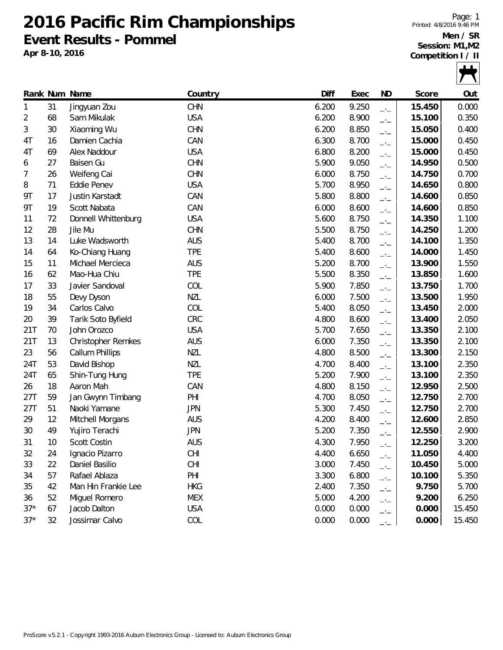**2016 Pacific Rim Championships Event Results - Pommel**

**Apr 8-10, 2016**

Page: 1 Printed: 4/8/2016 9:46 PM **Men / SR Session: M1,M2**

**Competition I / II**



|           |    | Rank Num Name       | Country    | Diff  | Exec  | <b>ND</b>                | Score  | Out    |
|-----------|----|---------------------|------------|-------|-------|--------------------------|--------|--------|
| 1         | 31 | Jingyuan Zou        | <b>CHN</b> | 6.200 | 9.250 | $-1$                     | 15.450 | 0.000  |
| 2         | 68 | Sam Mikulak         | <b>USA</b> | 6.200 | 8.900 | $-1$                     | 15.100 | 0.350  |
| 3         | 30 | Xiaoming Wu         | <b>CHN</b> | 6.200 | 8.850 | $-1$                     | 15.050 | 0.400  |
| 4T        | 16 | Damien Cachia       | CAN        | 6.300 | 8.700 | $-1$                     | 15.000 | 0.450  |
| 4T        | 69 | Alex Naddour        | <b>USA</b> | 6.800 | 8.200 | $ -$                     | 15.000 | 0.450  |
| 6         | 27 | Baisen Gu           | <b>CHN</b> | 5.900 | 9.050 | $\overline{\phantom{a}}$ | 14.950 | 0.500  |
| 7         | 26 | Weifeng Cai         | <b>CHN</b> | 6.000 | 8.750 | $\overline{\phantom{a}}$ | 14.750 | 0.700  |
| 8         | 71 | <b>Eddie Penev</b>  | <b>USA</b> | 5.700 | 8.950 | $-1$                     | 14.650 | 0.800  |
| 9T        | 17 | Justin Karstadt     | CAN        | 5.800 | 8.800 | $-1$                     | 14.600 | 0.850  |
| <b>9T</b> | 19 | Scott Nabata        | CAN        | 6.000 | 8.600 | $\overline{a}$           | 14.600 | 0.850  |
| 11        | 72 | Donnell Whittenburg | <b>USA</b> | 5.600 | 8.750 | $\overline{\phantom{a}}$ | 14.350 | 1.100  |
| 12        | 28 | Jile Mu             | CHN        | 5.500 | 8.750 | $-1$                     | 14.250 | 1.200  |
| 13        | 14 | Luke Wadsworth      | <b>AUS</b> | 5.400 | 8.700 | $-1$                     | 14.100 | 1.350  |
| 14        | 64 | Ko-Chiang Huang     | <b>TPE</b> | 5.400 | 8.600 | $\overline{\phantom{a}}$ | 14.000 | 1.450  |
| 15        | 11 | Michael Mercieca    | <b>AUS</b> | 5.200 | 8.700 | $-1$                     | 13.900 | 1.550  |
| 16        | 62 | Mao-Hua Chiu        | <b>TPE</b> | 5.500 | 8.350 | $\overline{a}$           | 13.850 | 1.600  |
| 17        | 33 | Javier Sandoval     | COL        | 5.900 | 7.850 | $-1$                     | 13.750 | 1.700  |
| 18        | 55 | Devy Dyson          | <b>NZL</b> | 6.000 | 7.500 | $-1$                     | 13.500 | 1.950  |
| 19        | 34 | Carlos Calvo        | COL        | 5.400 | 8.050 | $-1$                     | 13.450 | 2.000  |
| 20        | 39 | Tarik Soto Byfield  | CRC        | 4.800 | 8.600 | $-1$                     | 13.400 | 2.050  |
| 21T       | 70 | John Orozco         | <b>USA</b> | 5.700 | 7.650 | $-1$                     | 13.350 | 2.100  |
| 21T       | 13 | Christopher Remkes  | <b>AUS</b> | 6.000 | 7.350 | $-1$                     | 13.350 | 2.100  |
| 23        | 56 | Callum Phillips     | <b>NZL</b> | 4.800 | 8.500 | $-1$                     | 13.300 | 2.150  |
| 24T       | 53 | David Bishop        | <b>NZL</b> | 4.700 | 8.400 | $-1$                     | 13.100 | 2.350  |
| 24T       | 65 | Shin-Tung Hung      | <b>TPE</b> | 5.200 | 7.900 | $\overline{\phantom{a}}$ | 13.100 | 2.350  |
| 26        | 18 | Aaron Mah           | CAN        | 4.800 | 8.150 | $-1$                     | 12.950 | 2.500  |
| 27T       | 59 | Jan Gwynn Timbang   | PHI        | 4.700 | 8.050 | $-1$                     | 12.750 | 2.700  |
| 27T       | 51 | Naoki Yamane        | <b>JPN</b> | 5.300 | 7.450 | $-1$                     | 12.750 | 2.700  |
| 29        | 12 | Mitchell Morgans    | <b>AUS</b> | 4.200 | 8.400 | $\overline{\phantom{a}}$ | 12.600 | 2.850  |
| 30        | 49 | Yujiro Terachi      | <b>JPN</b> | 5.200 | 7.350 | $-1$                     | 12.550 | 2.900  |
| 31        | 10 | Scott Costin        | <b>AUS</b> | 4.300 | 7.950 | $-1$                     | 12.250 | 3.200  |
| 32        | 24 | Ignacio Pizarro     | <b>CHI</b> | 4.400 | 6.650 |                          | 11.050 | 4.400  |
| 33        | 22 | Daniel Basilio      | <b>CHI</b> | 3.000 | 7.450 | $-1$                     | 10.450 | 5.000  |
| 34        | 57 | Rafael Ablaza       | PHI        | 3.300 | 6.800 | $ -$                     | 10.100 | 5.350  |
| 35        | 42 | Man Hin Frankie Lee | <b>HKG</b> | 2.400 | 7.350 | $ -$                     | 9.750  | 5.700  |
| 36        | 52 | Miguel Romero       | <b>MEX</b> | 5.000 | 4.200 | $-1$                     | 9.200  | 6.250  |
| $37*$     | 67 | Jacob Dalton        | <b>USA</b> | 0.000 | 0.000 | $ -$                     | 0.000  | 15.450 |
| $37*$     | 32 | Jossimar Calvo      | COL        | 0.000 | 0.000 | $ -$                     | 0.000  | 15.450 |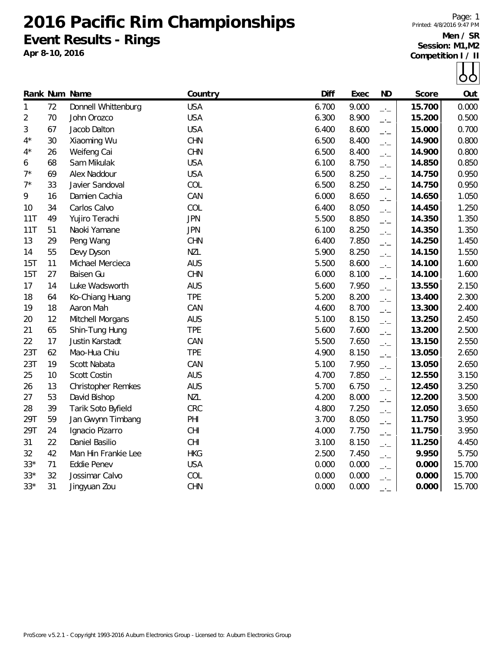**2016 Pacific Rim Championships Event Results - Rings**

**Apr 8-10, 2016**

Page: 1 Printed: 4/8/2016 9:47 PM

**Men / SR Session: M1,M2 Competition I / II**



|                |    | Rank Num Name       | Country    | Diff  | Exec  | <b>ND</b>                | Score  | Out    |
|----------------|----|---------------------|------------|-------|-------|--------------------------|--------|--------|
| $\mathbf{1}$   | 72 | Donnell Whittenburg | <b>USA</b> | 6.700 | 9.000 | $-$                      | 15.700 | 0.000  |
| $\overline{2}$ | 70 | John Orozco         | <b>USA</b> | 6.300 | 8.900 | $-1$                     | 15.200 | 0.500  |
| 3              | 67 | Jacob Dalton        | <b>USA</b> | 6.400 | 8.600 | $\overline{\phantom{a}}$ | 15.000 | 0.700  |
| $4^{\star}$    | 30 | Xiaoming Wu         | <b>CHN</b> | 6.500 | 8.400 | $\overline{\phantom{a}}$ | 14.900 | 0.800  |
| $4^{\star}$    | 26 | Weifeng Cai         | <b>CHN</b> | 6.500 | 8.400 | $-1$                     | 14.900 | 0.800  |
| 6              | 68 | Sam Mikulak         | <b>USA</b> | 6.100 | 8.750 | $-1$                     | 14.850 | 0.850  |
| $7^{\star}$    | 69 | Alex Naddour        | <b>USA</b> | 6.500 | 8.250 | $\overline{\phantom{a}}$ | 14.750 | 0.950  |
| $7^*$          | 33 | Javier Sandoval     | COL        | 6.500 | 8.250 | $-1$                     | 14.750 | 0.950  |
| 9              | 16 | Damien Cachia       | CAN        | 6.000 | 8.650 | $\overline{\phantom{a}}$ | 14.650 | 1.050  |
| 10             | 34 | Carlos Calvo        | COL        | 6.400 | 8.050 | $\rightarrow$            | 14.450 | 1.250  |
| 11T            | 49 | Yujiro Terachi      | <b>JPN</b> | 5.500 | 8.850 | $\rightarrow$            | 14.350 | 1.350  |
| 11T            | 51 | Naoki Yamane        | <b>JPN</b> | 6.100 | 8.250 | $\rightarrow$            | 14.350 | 1.350  |
| 13             | 29 | Peng Wang           | <b>CHN</b> | 6.400 | 7.850 | $\rightarrow$            | 14.250 | 1.450  |
| 14             | 55 | Devy Dyson          | <b>NZL</b> | 5.900 | 8.250 | $-1$                     | 14.150 | 1.550  |
| 15T            | 11 | Michael Mercieca    | <b>AUS</b> | 5.500 | 8.600 | $\rightarrow$            | 14.100 | 1.600  |
| 15T            | 27 | Baisen Gu           | <b>CHN</b> | 6.000 | 8.100 | $\rightarrow$            | 14.100 | 1.600  |
| 17             | 14 | Luke Wadsworth      | <b>AUS</b> | 5.600 | 7.950 | $-1$                     | 13.550 | 2.150  |
| 18             | 64 | Ko-Chiang Huang     | <b>TPE</b> | 5.200 | 8.200 | $-1$                     | 13.400 | 2.300  |
| 19             | 18 | Aaron Mah           | CAN        | 4.600 | 8.700 | $-1$                     | 13.300 | 2.400  |
| 20             | 12 | Mitchell Morgans    | <b>AUS</b> | 5.100 | 8.150 | $-1$                     | 13.250 | 2.450  |
| 21             | 65 | Shin-Tung Hung      | <b>TPE</b> | 5.600 | 7.600 | $-1$                     | 13.200 | 2.500  |
| 22             | 17 | Justin Karstadt     | CAN        | 5.500 | 7.650 | $ -$                     | 13.150 | 2.550  |
| 23T            | 62 | Mao-Hua Chiu        | <b>TPE</b> | 4.900 | 8.150 | $ -$                     | 13.050 | 2.650  |
| 23T            | 19 | Scott Nabata        | CAN        | 5.100 | 7.950 | $-1$                     | 13.050 | 2.650  |
| 25             | 10 | <b>Scott Costin</b> | <b>AUS</b> | 4.700 | 7.850 | $\overline{\phantom{a}}$ | 12.550 | 3.150  |
| 26             | 13 | Christopher Remkes  | <b>AUS</b> | 5.700 | 6.750 | $\rightarrow$            | 12.450 | 3.250  |
| 27             | 53 | David Bishop        | <b>NZL</b> | 4.200 | 8.000 | $\overline{\phantom{a}}$ | 12.200 | 3.500  |
| 28             | 39 | Tarik Soto Byfield  | CRC        | 4.800 | 7.250 | $\overline{\phantom{a}}$ | 12.050 | 3.650  |
| 29T            | 59 | Jan Gwynn Timbang   | PHI        | 3.700 | 8.050 | $-1$                     | 11.750 | 3.950  |
| 29T            | 24 | Ignacio Pizarro     | <b>CHI</b> | 4.000 | 7.750 | $\overline{\phantom{a}}$ | 11.750 | 3.950  |
| 31             | 22 | Daniel Basilio      | CHI        | 3.100 | 8.150 | $-1$                     | 11.250 | 4.450  |
| 32             | 42 | Man Hin Frankie Lee | <b>HKG</b> | 2.500 | 7.450 | $\rightarrow$            | 9.950  | 5.750  |
| $33*$          | 71 | Eddie Penev         | <b>USA</b> | 0.000 | 0.000 | $-1$                     | 0.000  | 15.700 |
| $33*$          | 32 | Jossimar Calvo      | COL        | 0.000 | 0.000 | $-1$                     | 0.000  | 15.700 |
| $33*$          | 31 | Jingyuan Zou        | <b>CHN</b> | 0.000 | 0.000 | $-1$                     | 0.000  | 15.700 |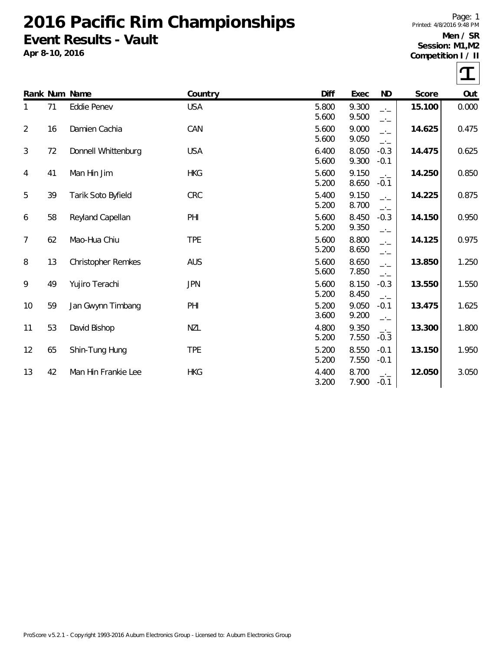## **2016 Pacific Rim Championships Event Results - Vault**

**Apr 8-10, 2016**

Page: 1 Printed: 4/8/2016 9:48 PM

## **Men / SR Session: M1,M2**

**Competition I / II**

 $\tau$ 

|                |    | Rank Num Name             | Country    | Diff           | Exec           | ND                               | Score  | Out   |
|----------------|----|---------------------------|------------|----------------|----------------|----------------------------------|--------|-------|
| 1              | 71 | Eddie Penev               | <b>USA</b> | 5.800<br>5.600 | 9.300<br>9.500 | $-1$<br>$-1$                     | 15.100 | 0.000 |
| $\overline{2}$ | 16 | Damien Cachia             | CAN        | 5.600<br>5.600 | 9.000<br>9.050 | $\overline{\phantom{a}}$<br>$-1$ | 14.625 | 0.475 |
| 3              | 72 | Donnell Whittenburg       | <b>USA</b> | 6.400<br>5.600 | 8.050<br>9.300 | $-0.3$<br>$-0.1$                 | 14.475 | 0.625 |
| 4              | 41 | Man Hin Jim               | <b>HKG</b> | 5.600<br>5.200 | 9.150<br>8.650 | $-1$<br>$-0.1$                   | 14.250 | 0.850 |
| 5              | 39 | Tarik Soto Byfield        | CRC        | 5.400<br>5.200 | 9.150<br>8.700 | $-1$<br>$-1$                     | 14.225 | 0.875 |
| 6              | 58 | Reyland Capellan          | PHI        | 5.600<br>5.200 | 8.450<br>9.350 | $-0.3$<br>$-1$                   | 14.150 | 0.950 |
| 7              | 62 | Mao-Hua Chiu              | <b>TPE</b> | 5.600<br>5.200 | 8.800<br>8.650 | $-1$<br>$-1$                     | 14.125 | 0.975 |
| 8              | 13 | <b>Christopher Remkes</b> | <b>AUS</b> | 5.600<br>5.600 | 8.650<br>7.850 | $-1$<br>$-$                      | 13.850 | 1.250 |
| 9              | 49 | Yujiro Terachi            | <b>JPN</b> | 5.600<br>5.200 | 8.150<br>8.450 | $-0.3$<br>$\rightarrow$          | 13.550 | 1.550 |
| 10             | 59 | Jan Gwynn Timbang         | PHI        | 5.200<br>3.600 | 9.050<br>9.200 | $-0.1$<br>$-1$                   | 13.475 | 1.625 |
| 11             | 53 | David Bishop              | <b>NZL</b> | 4.800<br>5.200 | 9.350<br>7.550 | $-1$<br>$-0.3$                   | 13.300 | 1.800 |
| 12             | 65 | Shin-Tung Hung            | <b>TPE</b> | 5.200<br>5.200 | 8.550<br>7.550 | $-0.1$<br>$-0.1$                 | 13.150 | 1.950 |
| 13             | 42 | Man Hin Frankie Lee       | <b>HKG</b> | 4.400<br>3.200 | 8.700<br>7.900 | $-1$<br>$-0.1$                   | 12.050 | 3.050 |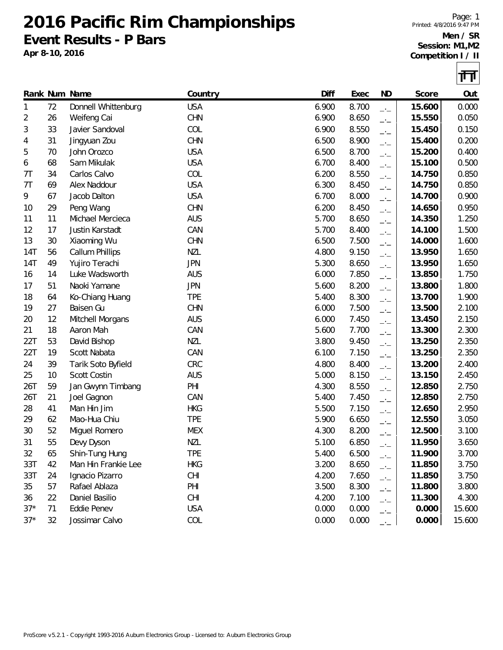**2016 Pacific Rim Championships Event Results - P Bars**

**Apr 8-10, 2016**



|                |    | Rank Num Name       | Country    | Diff  | Exec  | ND                       | Score  | Out    |
|----------------|----|---------------------|------------|-------|-------|--------------------------|--------|--------|
| 1              | 72 | Donnell Whittenburg | <b>USA</b> | 6.900 | 8.700 | $-1$                     | 15.600 | 0.000  |
| 2              | 26 | Weifeng Cai         | <b>CHN</b> | 6.900 | 8.650 | $\overline{\phantom{a}}$ | 15.550 | 0.050  |
| 3              | 33 | Javier Sandoval     | COL        | 6.900 | 8.550 | $-1$                     | 15.450 | 0.150  |
| 4              | 31 | Jingyuan Zou        | <b>CHN</b> | 6.500 | 8.900 | $-1$                     | 15.400 | 0.200  |
| 5              | 70 | John Orozco         | <b>USA</b> | 6.500 | 8.700 | $-1$                     | 15.200 | 0.400  |
| 6              | 68 | Sam Mikulak         | <b>USA</b> | 6.700 | 8.400 | $-1$                     | 15.100 | 0.500  |
| 7 <sub>T</sub> | 34 | Carlos Calvo        | COL        | 6.200 | 8.550 | $ -$                     | 14.750 | 0.850  |
| 7T             | 69 | Alex Naddour        | <b>USA</b> | 6.300 | 8.450 | $-1$                     | 14.750 | 0.850  |
| 9              | 67 | Jacob Dalton        | <b>USA</b> | 6.700 | 8.000 | $-1$                     | 14.700 | 0.900  |
| 10             | 29 | Peng Wang           | <b>CHN</b> | 6.200 | 8.450 | $-1$                     | 14.650 | 0.950  |
| 11             | 11 | Michael Mercieca    | <b>AUS</b> | 5.700 | 8.650 | $-1$                     | 14.350 | 1.250  |
| 12             | 17 | Justin Karstadt     | CAN        | 5.700 | 8.400 | $-1$                     | 14.100 | 1.500  |
| 13             | 30 | Xiaoming Wu         | <b>CHN</b> | 6.500 | 7.500 | $-1$                     | 14.000 | 1.600  |
| 14T            | 56 | Callum Phillips     | <b>NZL</b> | 4.800 | 9.150 | $-1$                     | 13.950 | 1.650  |
| 14T            | 49 | Yujiro Terachi      | <b>JPN</b> | 5.300 | 8.650 | $-1$                     | 13.950 | 1.650  |
| 16             | 14 | Luke Wadsworth      | <b>AUS</b> | 6.000 | 7.850 | $-1$                     | 13.850 | 1.750  |
| 17             | 51 | Naoki Yamane        | <b>JPN</b> | 5.600 | 8.200 | $-1$                     | 13.800 | 1.800  |
| 18             | 64 | Ko-Chiang Huang     | <b>TPE</b> | 5.400 | 8.300 | $-1$                     | 13.700 | 1.900  |
| 19             | 27 | Baisen Gu           | <b>CHN</b> | 6.000 | 7.500 | $-1$                     | 13.500 | 2.100  |
| 20             | 12 | Mitchell Morgans    | <b>AUS</b> | 6.000 | 7.450 | $-1$                     | 13.450 | 2.150  |
| 21             | 18 | Aaron Mah           | CAN        | 5.600 | 7.700 | $-1$                     | 13.300 | 2.300  |
| 22T            | 53 | David Bishop        | <b>NZL</b> | 3.800 | 9.450 | $-1$                     | 13.250 | 2.350  |
| 22T            | 19 | Scott Nabata        | CAN        | 6.100 | 7.150 | $-1$                     | 13.250 | 2.350  |
| 24             | 39 | Tarik Soto Byfield  | <b>CRC</b> | 4.800 | 8.400 | $-1$                     | 13.200 | 2.400  |
| 25             | 10 | Scott Costin        | <b>AUS</b> | 5.000 | 8.150 | $-1$                     | 13.150 | 2.450  |
| 26T            | 59 | Jan Gwynn Timbang   | PHI        | 4.300 | 8.550 | $-1$                     | 12.850 | 2.750  |
| 26T            | 21 | Joel Gagnon         | CAN        | 5.400 | 7.450 | $-1$                     | 12.850 | 2.750  |
| 28             | 41 | Man Hin Jim         | <b>HKG</b> | 5.500 | 7.150 | $-1$                     | 12.650 | 2.950  |
| 29             | 62 | Mao-Hua Chiu        | <b>TPE</b> | 5.900 | 6.650 | $-1$                     | 12.550 | 3.050  |
| 30             | 52 | Miguel Romero       | <b>MEX</b> | 4.300 | 8.200 | $-1$                     | 12.500 | 3.100  |
| 31             | 55 | Devy Dyson          | <b>NZL</b> | 5.100 | 6.850 | $-1$                     | 11.950 | 3.650  |
| 32             | 65 | Shin-Tung Hung      | <b>TPE</b> | 5.400 | 6.500 | —'—                      | 11.900 | 3.700  |
| 33T            | 42 | Man Hin Frankie Lee | <b>HKG</b> | 3.200 | 8.650 | $-1$                     | 11.850 | 3.750  |
| 33T            | 24 | Ignacio Pizarro     | CHI        | 4.200 | 7.650 | $-1$                     | 11.850 | 3.750  |
| 35             | 57 | Rafael Ablaza       | PHI        | 3.500 | 8.300 | $-1$                     | 11.800 | 3.800  |
| 36             | 22 | Daniel Basilio      | <b>CHI</b> | 4.200 | 7.100 | $-1$                     | 11.300 | 4.300  |
| $37*$          | 71 | Eddie Penev         | <b>USA</b> | 0.000 | 0.000 | $ -$                     | 0.000  | 15.600 |
| $37*$          | 32 | Jossimar Calvo      | COL        | 0.000 | 0.000 | $-1$                     | 0.000  | 15.600 |